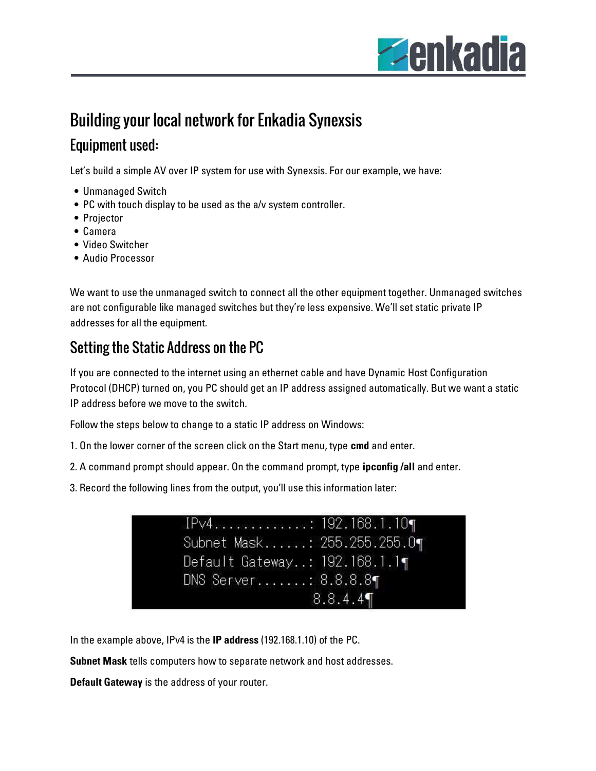

# Building your local network for Enkadia Synexsis

#### Equipment used:

Let's build a simple AV over IP system for use with Synexsis. For our example, we have:

- Unmanaged Switch
- PC with touch display to be used as the a/v system controller.
- Projector
- Camera
- Video Switcher
- Audio Processor

We want to use the unmanaged switch to connect all the other equipment together. Unmanaged switches are not configurable like managed switches but they're less expensive. We'll set static private IP addresses for all the equipment.

## Setting the Static Address on the PC

If you are connected to the internet using an ethernet cable and have Dynamic Host Configuration Protocol (DHCP) turned on, you PC should get an IP address assigned automatically. But we want a static IP address before we move to the switch.

Follow the steps below to change to a static IP address on Windows:

- 1. On the lower corner of the screen click on the Start menu, type cmd and enter.
- 2. A command prompt should appear. On the command prompt, type **ipconfig /all** and enter.
- 3. Record the following lines from the output, you'll use this information later:

| Subnet Mask: 255.255.255.0¶   |
|-------------------------------|
| Default Gateway: 192.168.1.1¶ |
| DNS Server: 8.8.8.8¶          |
| 8.8.4.4                       |
|                               |

In the example above, IPv4 is the IP address (192.168.1.10) of the PC.

Subnet Mask tells computers how to separate network and host addresses.

Default Gateway is the address of your router.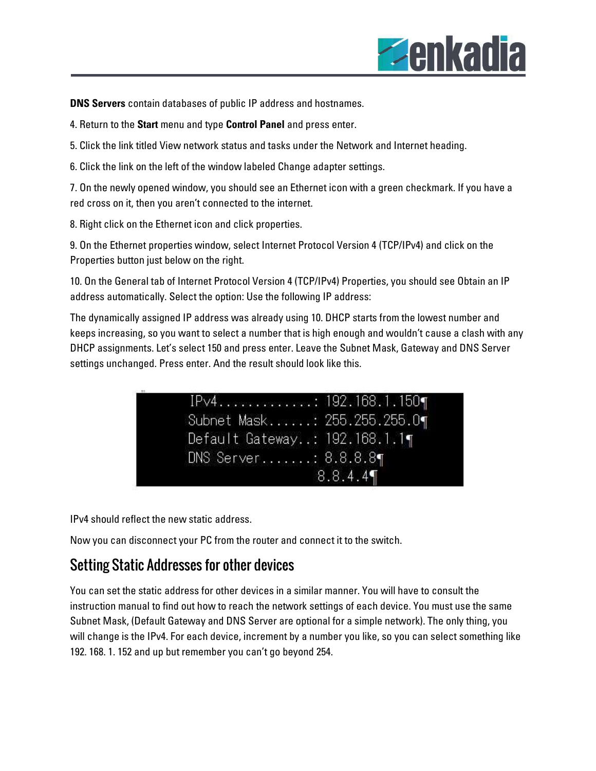

DNS Servers contain databases of public IP address and hostnames.

4. Return to the Start menu and type Control Panel and press enter.

5. Click the link titled View network status and tasks under the Network and Internet heading.

6. Click the link on the left of the window labeled Change adapter settings.

7. On the newly opened window, you should see an Ethernet icon with a green checkmark. If you have a red cross on it, then you aren't connected to the internet.

8. Right click on the Ethernet icon and click properties.

9. On the Ethernet properties window, select Internet Protocol Version 4 (TCP/IPv4) and click on the Properties button just below on the right.

10. On the General tab of Internet Protocol Version 4 (TCP/IPv4) Properties, you should see Obtain an IP address automatically. Select the option: Use the following IP address:

The dynamically assigned IP address was already using 10. DHCP starts from the lowest number and keeps increasing, so you want to select a number that is high enough and wouldn't cause a clash with any DHCP assignments. Let's select 150 and press enter. Leave the Subnet Mask, Gateway and DNS Server settings unchanged. Press enter. And the result should look like this.

| $IPv4$ : 192.168.1.150¶       |
|-------------------------------|
| Subnet Mask: 255.255.255.0¶   |
| Default Gateway: 192.168.1.1¶ |
| DNS Server: 8.8.8.8¶          |
| 8.8.4.4                       |

IPv4 should reflect the new static address.

Now you can disconnect your PC from the router and connect it to the switch.

#### Setting Static Addresses for other devices

You can set the static address for other devices in a similar manner. You will have to consult the instruction manual to find out how to reach the network settings of each device. You must use the same Subnet Mask, (Default Gateway and DNS Server are optional for a simple network). The only thing, you will change is the IPv4. For each device, increment by a number you like, so you can select something like 192. 168. 1. 152 and up but remember you can't go beyond 254.